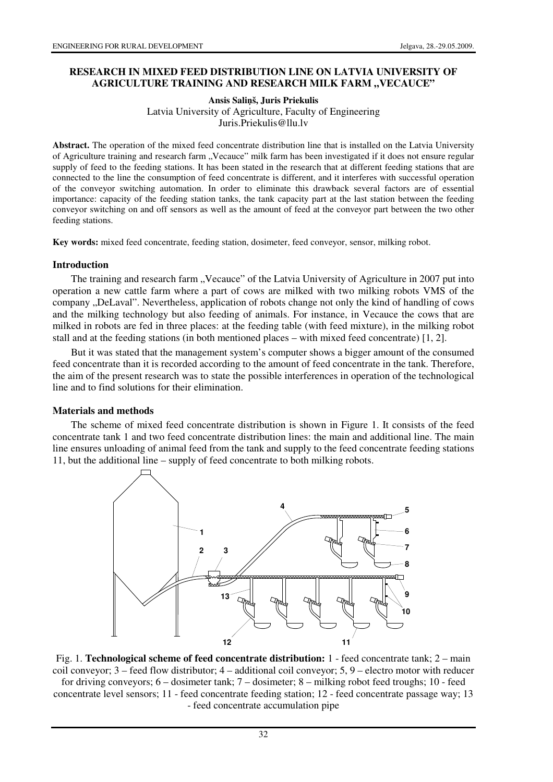### **RESEARCH IN MIXED FEED DISTRIBUTION LINE ON LATVIA UNIVERSITY OF**  AGRICULTURE TRAINING AND RESEARCH MILK FARM "VECAUCE"

#### **Ansis Sali**ņ**š, Juris Priekulis**  Latvia University of Agriculture, Faculty of Engineering Juris.Priekulis@llu.lv

**Abstract.** The operation of the mixed feed concentrate distribution line that is installed on the Latvia University of Agriculture training and research farm "Vecauce" milk farm has been investigated if it does not ensure regular supply of feed to the feeding stations. It has been stated in the research that at different feeding stations that are connected to the line the consumption of feed concentrate is different, and it interferes with successful operation of the conveyor switching automation. In order to eliminate this drawback several factors are of essential importance: capacity of the feeding station tanks, the tank capacity part at the last station between the feeding conveyor switching on and off sensors as well as the amount of feed at the conveyor part between the two other feeding stations.

**Key words:** mixed feed concentrate, feeding station, dosimeter, feed conveyor, sensor, milking robot.

#### **Introduction**

The training and research farm "Vecauce" of the Latvia University of Agriculture in 2007 put into operation a new cattle farm where a part of cows are milked with two milking robots VMS of the company "DeLaval". Nevertheless, application of robots change not only the kind of handling of cows and the milking technology but also feeding of animals. For instance, in Vecauce the cows that are milked in robots are fed in three places: at the feeding table (with feed mixture), in the milking robot stall and at the feeding stations (in both mentioned places – with mixed feed concentrate) [1, 2].

But it was stated that the management system's computer shows a bigger amount of the consumed feed concentrate than it is recorded according to the amount of feed concentrate in the tank. Therefore, the aim of the present research was to state the possible interferences in operation of the technological line and to find solutions for their elimination.

### **Materials and methods**

The scheme of mixed feed concentrate distribution is shown in Figure 1. It consists of the feed concentrate tank 1 and two feed concentrate distribution lines: the main and additional line. The main line ensures unloading of animal feed from the tank and supply to the feed concentrate feeding stations 11, but the additional line – supply of feed concentrate to both milking robots.



Fig. 1. **Technological scheme of feed concentrate distribution:** 1 - feed concentrate tank; 2 – main coil conveyor;  $3 -$  feed flow distributor;  $4 -$  additional coil conveyor;  $5, 9 -$  electro motor with reducer for driving conveyors; 6 – dosimeter tank; 7 – dosimeter; 8 – milking robot feed troughs; 10 - feed concentrate level sensors; 11 - feed concentrate feeding station; 12 - feed concentrate passage way; 13 - feed concentrate accumulation pipe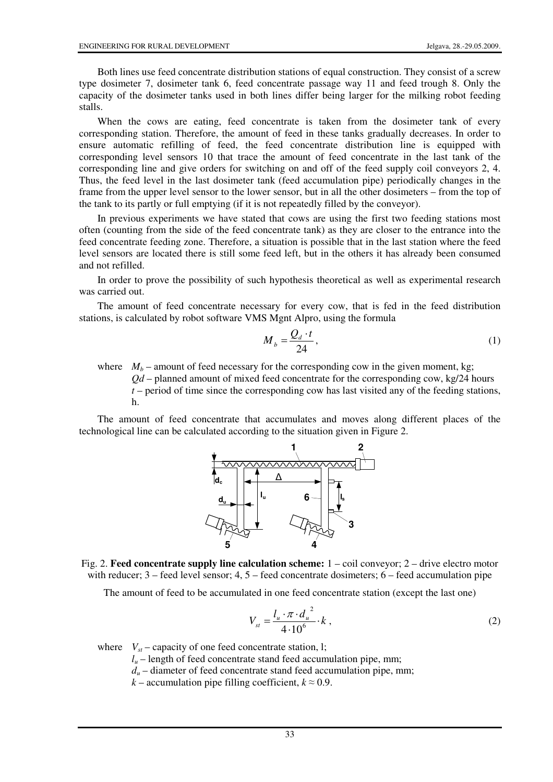Both lines use feed concentrate distribution stations of equal construction. They consist of a screw type dosimeter 7, dosimeter tank 6, feed concentrate passage way 11 and feed trough 8. Only the capacity of the dosimeter tanks used in both lines differ being larger for the milking robot feeding stalls.

When the cows are eating, feed concentrate is taken from the dosimeter tank of every corresponding station. Therefore, the amount of feed in these tanks gradually decreases. In order to ensure automatic refilling of feed, the feed concentrate distribution line is equipped with corresponding level sensors 10 that trace the amount of feed concentrate in the last tank of the corresponding line and give orders for switching on and off of the feed supply coil conveyors 2, 4. Thus, the feed level in the last dosimeter tank (feed accumulation pipe) periodically changes in the frame from the upper level sensor to the lower sensor, but in all the other dosimeters – from the top of the tank to its partly or full emptying (if it is not repeatedly filled by the conveyor).

In previous experiments we have stated that cows are using the first two feeding stations most often (counting from the side of the feed concentrate tank) as they are closer to the entrance into the feed concentrate feeding zone. Therefore, a situation is possible that in the last station where the feed level sensors are located there is still some feed left, but in the others it has already been consumed and not refilled.

In order to prove the possibility of such hypothesis theoretical as well as experimental research was carried out.

The amount of feed concentrate necessary for every cow, that is fed in the feed distribution stations, is calculated by robot software VMS Mgnt Alpro, using the formula

$$
M_b = \frac{Q_d \cdot t}{24},\tag{1}
$$

where  $M_b$  – amount of feed necessary for the corresponding cow in the given moment, kg; *Qd* – planned amount of mixed feed concentrate for the corresponding cow, kg/24 hours *t* – period of time since the corresponding cow has last visited any of the feeding stations, h.

The amount of feed concentrate that accumulates and moves along different places of the technological line can be calculated according to the situation given in Figure 2.



Fig. 2. **Feed concentrate supply line calculation scheme:** 1 – coil conveyor; 2 – drive electro motor with reducer;  $3 -$  feed level sensor;  $4, 5 -$  feed concentrate dosimeters;  $6 -$  feed accumulation pipe

The amount of feed to be accumulated in one feed concentrate station (except the last one)

$$
V_{st} = \frac{l_u \cdot \pi \cdot d_u^{2}}{4 \cdot 10^6} \cdot k \,,
$$
 (2)

where  $V_{st}$  – capacity of one feed concentrate station, l;

 $l<sub>u</sub>$  – length of feed concentrate stand feed accumulation pipe, mm;

 $d<sub>u</sub>$  – diameter of feed concentrate stand feed accumulation pipe, mm;

*k* – accumulation pipe filling coefficient,  $k \approx 0.9$ .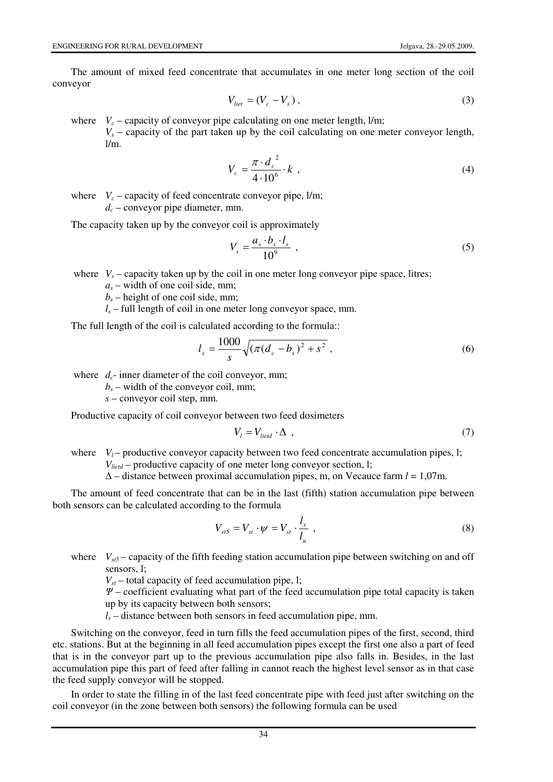The amount of mixed feed concentrate that accumulates in one meter long section of the coil conveyor

$$
V_{\text{liet}} = (V_c - V_s),\tag{3}
$$

where  $V_c$  – capacity of conveyor pipe calculating on one meter length,  $1/m$ ;

 $V_s$  – capacity of the part taken up by the coil calculating on one meter conveyor length,  $1/m$ .

$$
V_c = \frac{\pi \cdot d_c^2}{4 \cdot 10^6} \cdot k \tag{4}
$$

where  $V_c$  – capacity of feed concentrate conveyor pipe,  $1/m$ ;  $d_c$  – conveyor pipe diameter, mm.

The capacity taken up by the conveyor coil is approximately

$$
V_s = \frac{a_s \cdot b_s \cdot l_s}{10^9} \tag{5}
$$

where  $V_s$  – capacity taken up by the coil in one meter long conveyor pipe space, litres;

 $a_s$  – width of one coil side, mm;

 $b_s$  – height of one coil side, mm;

 $l_s$  – full length of coil in one meter long conveyor space, mm.

The full length of the coil is calculated according to the formula::

$$
l_s = \frac{1000}{s} \sqrt{\left(\pi (d_c - b_s)^2 + s^2\right)},\tag{6}
$$

where  $d_c$ - inner diameter of the coil conveyor, mm;

 $b_s$  – width of the conveyor coil, mm;

 *s* – conveyor coil step, mm.

Productive capacity of coil conveyor between two feed dosimeters

$$
V_l = V_{lietd} \cdot \Delta \t{,} \t(7)
$$

where  $V_l$  – productive conveyor capacity between two feed concentrate accumulation pipes, 1;  *Vlietd* – productive capacity of one meter long conveyor section, l;

∆ – distance between proximal accumulation pipes, m, on Vecauce farm *l* = 1,07m.

The amount of feed concentrate that can be in the last (fifth) station accumulation pipe between both sensors can be calculated according to the formula

$$
V_{st5} = V_{st} \cdot \psi = V_{st} \cdot \frac{l_s}{l_u} \tag{8}
$$

where  $V_{\text{gt}}$  – capacity of the fifth feeding station accumulation pipe between switching on and off sensors, l;

 $V_{st}$  – total capacity of feed accumulation pipe, l;

 $\Psi$  – coefficient evaluating what part of the feed accumulation pipe total capacity is taken up by its capacity between both sensors;

 $l_s$  – distance between both sensors in feed accumulation pipe, mm.

Switching on the conveyor, feed in turn fills the feed accumulation pipes of the first, second, third etc. stations. But at the beginning in all feed accumulation pipes except the first one also a part of feed that is in the conveyor part up to the previous accumulation pipe also falls in. Besides, in the last accumulation pipe this part of feed after falling in cannot reach the highest level sensor as in that case the feed supply conveyor will be stopped.

In order to state the filling in of the last feed concentrate pipe with feed just after switching on the coil conveyor (in the zone between both sensors) the following formula can be used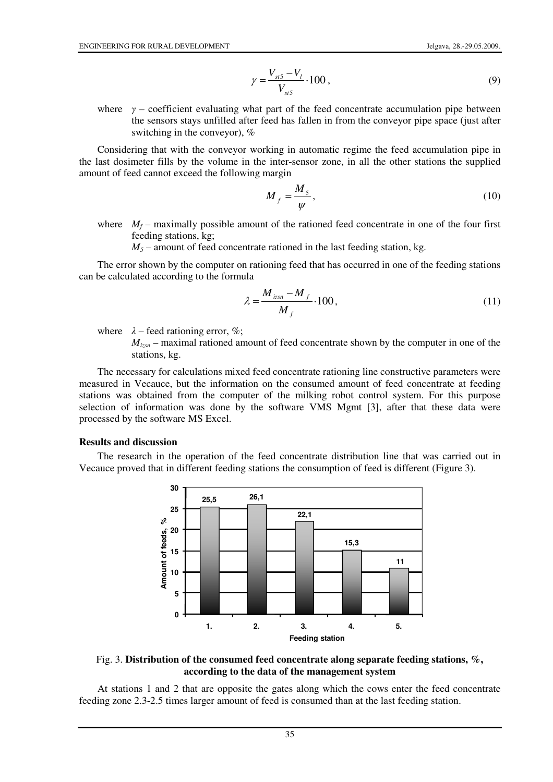$$
\gamma = \frac{V_{st5} - V_l}{V_{st5}} \cdot 100 \,, \tag{9}
$$

where  $\gamma$  – coefficient evaluating what part of the feed concentrate accumulation pipe between the sensors stays unfilled after feed has fallen in from the conveyor pipe space (just after switching in the conveyor), %

Considering that with the conveyor working in automatic regime the feed accumulation pipe in the last dosimeter fills by the volume in the inter-sensor zone, in all the other stations the supplied amount of feed cannot exceed the following margin

$$
M_f = \frac{M_5}{\psi},\tag{10}
$$

where  $M_f$  – maximally possible amount of the rationed feed concentrate in one of the four first feeding stations, kg;

 $M_5$  – amount of feed concentrate rationed in the last feeding station, kg.

The error shown by the computer on rationing feed that has occurred in one of the feeding stations can be calculated according to the formula

$$
\lambda = \frac{M_{izsn} - M_f}{M_f} \cdot 100\,,\tag{11}
$$

where  $\lambda$  – feed rationing error, %;

 $M_{izsn}$  – maximal rationed amount of feed concentrate shown by the computer in one of the stations, kg.

The necessary for calculations mixed feed concentrate rationing line constructive parameters were measured in Vecauce, but the information on the consumed amount of feed concentrate at feeding stations was obtained from the computer of the milking robot control system. For this purpose selection of information was done by the software VMS Mgmt [3], after that these data were processed by the software MS Excel.

#### **Results and discussion**

The research in the operation of the feed concentrate distribution line that was carried out in Vecauce proved that in different feeding stations the consumption of feed is different (Figure 3).





At stations 1 and 2 that are opposite the gates along which the cows enter the feed concentrate feeding zone 2.3-2.5 times larger amount of feed is consumed than at the last feeding station.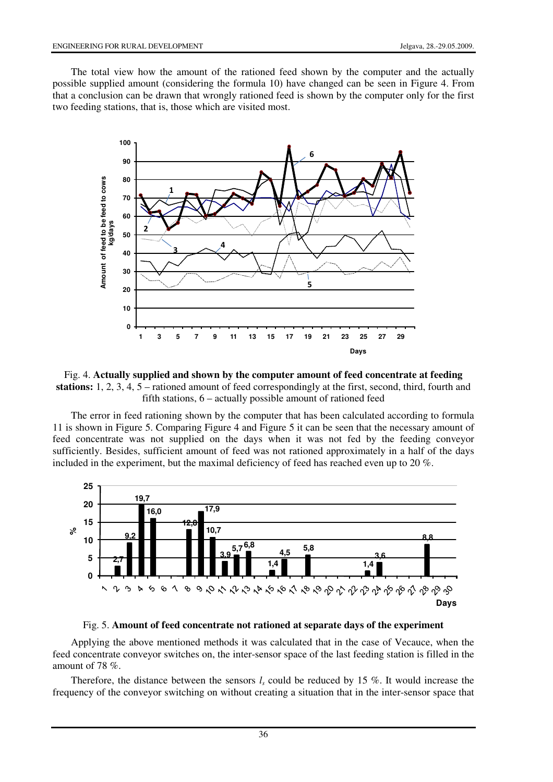The total view how the amount of the rationed feed shown by the computer and the actually possible supplied amount (considering the formula 10) have changed can be seen in Figure 4. From that a conclusion can be drawn that wrongly rationed feed is shown by the computer only for the first two feeding stations, that is, those which are visited most.



Fig. 4. **Actually supplied and shown by the computer amount of feed concentrate at feeding stations:** 1, 2, 3, 4, 5 – rationed amount of feed correspondingly at the first, second, third, fourth and fifth stations, 6 – actually possible amount of rationed feed

The error in feed rationing shown by the computer that has been calculated according to formula 11 is shown in Figure 5. Comparing Figure 4 and Figure 5 it can be seen that the necessary amount of feed concentrate was not supplied on the days when it was not fed by the feeding conveyor sufficiently. Besides, sufficient amount of feed was not rationed approximately in a half of the days included in the experiment, but the maximal deficiency of feed has reached even up to 20 %.



Fig. 5. **Amount of feed concentrate not rationed at separate days of the experiment**

Applying the above mentioned methods it was calculated that in the case of Vecauce, when the feed concentrate conveyor switches on, the inter-sensor space of the last feeding station is filled in the amount of 78 %.

Therefore, the distance between the sensors  $l_s$  could be reduced by 15 %. It would increase the frequency of the conveyor switching on without creating a situation that in the inter-sensor space that